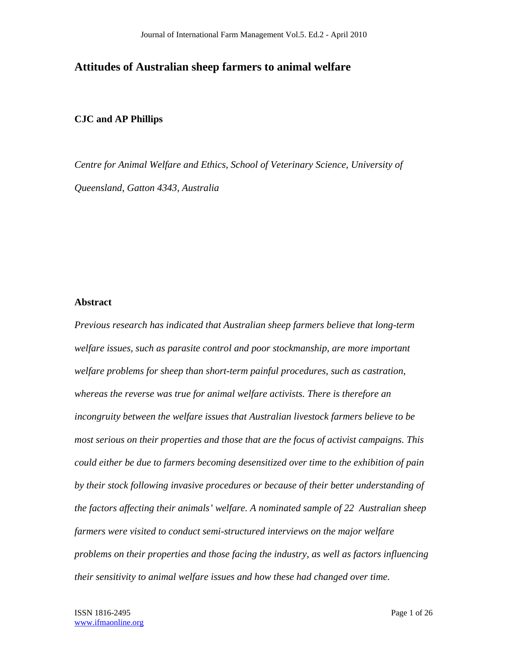## **Attitudes of Australian sheep farmers to animal welfare**

## **CJC and AP Phillips**

*Centre for Animal Welfare and Ethics, School of Veterinary Science, University of Queensland, Gatton 4343, Australia* 

## **Abstract**

*Previous research has indicated that Australian sheep farmers believe that long-term welfare issues, such as parasite control and poor stockmanship, are more important welfare problems for sheep than short-term painful procedures, such as castration, whereas the reverse was true for animal welfare activists. There is therefore an incongruity between the welfare issues that Australian livestock farmers believe to be most serious on their properties and those that are the focus of activist campaigns. This could either be due to farmers becoming desensitized over time to the exhibition of pain by their stock following invasive procedures or because of their better understanding of the factors affecting their animals' welfare. A nominated sample of 22 Australian sheep farmers were visited to conduct semi-structured interviews on the major welfare problems on their properties and those facing the industry, as well as factors influencing their sensitivity to animal welfare issues and how these had changed over time.*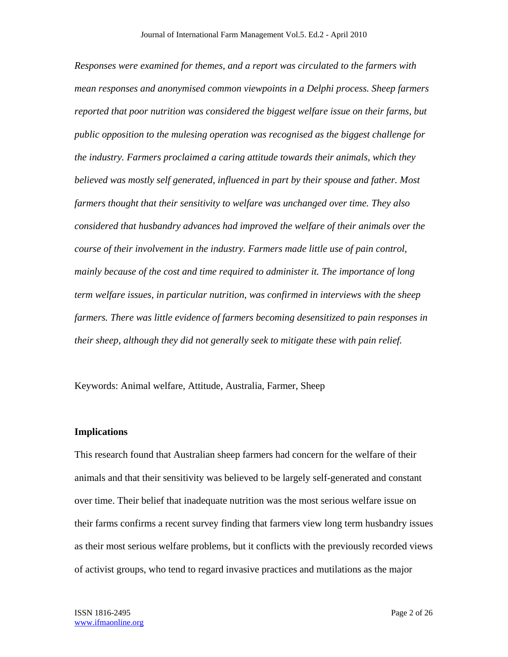*Responses were examined for themes, and a report was circulated to the farmers with mean responses and anonymised common viewpoints in a Delphi process. Sheep farmers reported that poor nutrition was considered the biggest welfare issue on their farms, but public opposition to the mulesing operation was recognised as the biggest challenge for the industry. Farmers proclaimed a caring attitude towards their animals, which they believed was mostly self generated, influenced in part by their spouse and father. Most farmers thought that their sensitivity to welfare was unchanged over time. They also considered that husbandry advances had improved the welfare of their animals over the course of their involvement in the industry. Farmers made little use of pain control, mainly because of the cost and time required to administer it. The importance of long term welfare issues, in particular nutrition, was confirmed in interviews with the sheep farmers. There was little evidence of farmers becoming desensitized to pain responses in their sheep, although they did not generally seek to mitigate these with pain relief.* 

Keywords: Animal welfare, Attitude, Australia, Farmer, Sheep

#### **Implications**

This research found that Australian sheep farmers had concern for the welfare of their animals and that their sensitivity was believed to be largely self-generated and constant over time. Their belief that inadequate nutrition was the most serious welfare issue on their farms confirms a recent survey finding that farmers view long term husbandry issues as their most serious welfare problems, but it conflicts with the previously recorded views of activist groups, who tend to regard invasive practices and mutilations as the major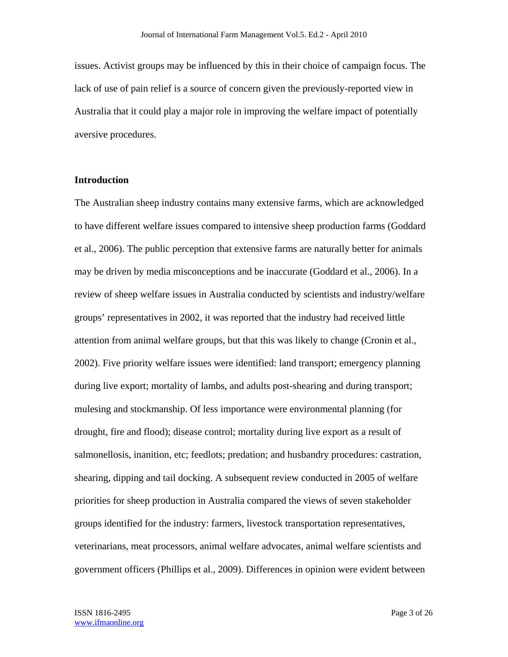issues. Activist groups may be influenced by this in their choice of campaign focus. The lack of use of pain relief is a source of concern given the previously-reported view in Australia that it could play a major role in improving the welfare impact of potentially aversive procedures.

## **Introduction**

The Australian sheep industry contains many extensive farms, which are acknowledged to have different welfare issues compared to intensive sheep production farms (Goddard et al., 2006). The public perception that extensive farms are naturally better for animals may be driven by media misconceptions and be inaccurate (Goddard et al., 2006). In a review of sheep welfare issues in Australia conducted by scientists and industry/welfare groups' representatives in 2002, it was reported that the industry had received little attention from animal welfare groups, but that this was likely to change (Cronin et al., 2002). Five priority welfare issues were identified: land transport; emergency planning during live export; mortality of lambs, and adults post-shearing and during transport; mulesing and stockmanship. Of less importance were environmental planning (for drought, fire and flood); disease control; mortality during live export as a result of salmonellosis, inanition, etc; feedlots; predation; and husbandry procedures: castration, shearing, dipping and tail docking. A subsequent review conducted in 2005 of welfare priorities for sheep production in Australia compared the views of seven stakeholder groups identified for the industry: farmers, livestock transportation representatives, veterinarians, meat processors, animal welfare advocates, animal welfare scientists and government officers (Phillips et al., 2009). Differences in opinion were evident between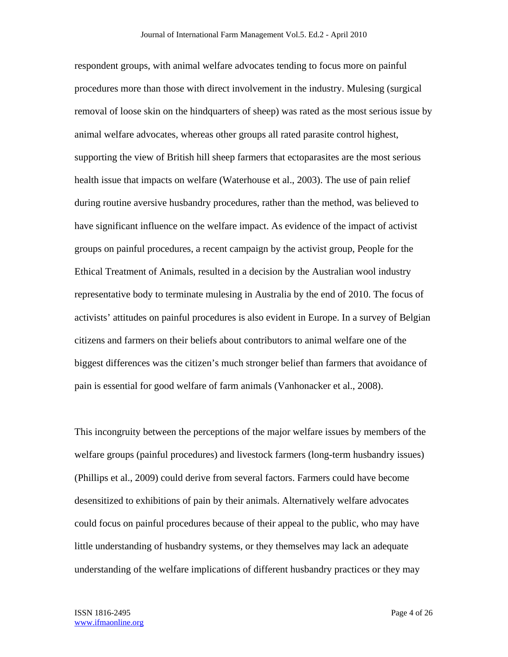respondent groups, with animal welfare advocates tending to focus more on painful procedures more than those with direct involvement in the industry. Mulesing (surgical removal of loose skin on the hindquarters of sheep) was rated as the most serious issue by animal welfare advocates, whereas other groups all rated parasite control highest, supporting the view of British hill sheep farmers that ectoparasites are the most serious health issue that impacts on welfare (Waterhouse et al., 2003). The use of pain relief during routine aversive husbandry procedures, rather than the method, was believed to have significant influence on the welfare impact. As evidence of the impact of activist groups on painful procedures, a recent campaign by the activist group, People for the Ethical Treatment of Animals, resulted in a decision by the Australian wool industry representative body to terminate mulesing in Australia by the end of 2010. The focus of activists' attitudes on painful procedures is also evident in Europe. In a survey of Belgian citizens and farmers on their beliefs about contributors to animal welfare one of the biggest differences was the citizen's much stronger belief than farmers that avoidance of pain is essential for good welfare of farm animals (Vanhonacker et al., 2008).

This incongruity between the perceptions of the major welfare issues by members of the welfare groups (painful procedures) and livestock farmers (long-term husbandry issues) (Phillips et al., 2009) could derive from several factors. Farmers could have become desensitized to exhibitions of pain by their animals. Alternatively welfare advocates could focus on painful procedures because of their appeal to the public, who may have little understanding of husbandry systems, or they themselves may lack an adequate understanding of the welfare implications of different husbandry practices or they may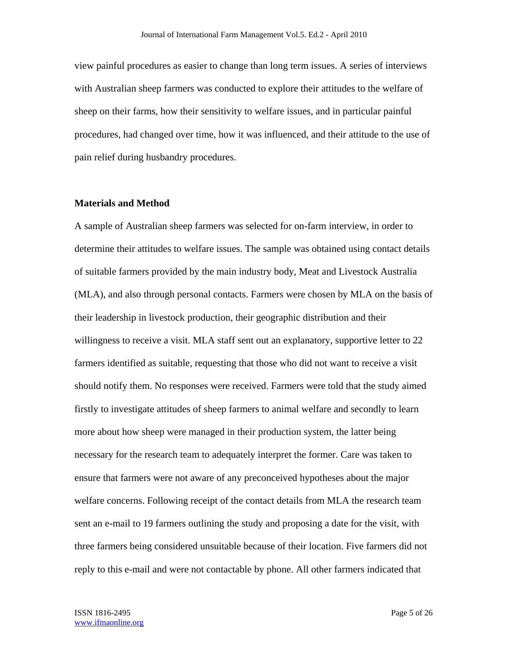view painful procedures as easier to change than long term issues. A series of interviews with Australian sheep farmers was conducted to explore their attitudes to the welfare of sheep on their farms, how their sensitivity to welfare issues, and in particular painful procedures, had changed over time, how it was influenced, and their attitude to the use of pain relief during husbandry procedures.

## **Materials and Method**

A sample of Australian sheep farmers was selected for on-farm interview, in order to determine their attitudes to welfare issues. The sample was obtained using contact details of suitable farmers provided by the main industry body, Meat and Livestock Australia (MLA), and also through personal contacts. Farmers were chosen by MLA on the basis of their leadership in livestock production, their geographic distribution and their willingness to receive a visit. MLA staff sent out an explanatory, supportive letter to 22 farmers identified as suitable, requesting that those who did not want to receive a visit should notify them. No responses were received. Farmers were told that the study aimed firstly to investigate attitudes of sheep farmers to animal welfare and secondly to learn more about how sheep were managed in their production system, the latter being necessary for the research team to adequately interpret the former. Care was taken to ensure that farmers were not aware of any preconceived hypotheses about the major welfare concerns. Following receipt of the contact details from MLA the research team sent an e-mail to 19 farmers outlining the study and proposing a date for the visit, with three farmers being considered unsuitable because of their location. Five farmers did not reply to this e-mail and were not contactable by phone. All other farmers indicated that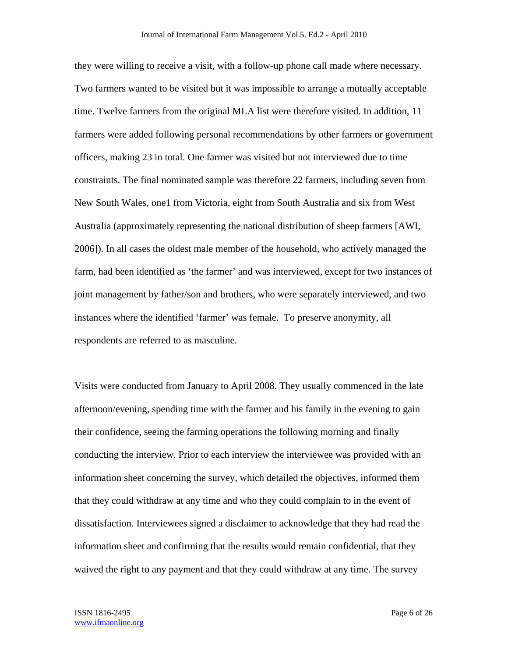they were willing to receive a visit, with a follow-up phone call made where necessary. Two farmers wanted to be visited but it was impossible to arrange a mutually acceptable time. Twelve farmers from the original MLA list were therefore visited. In addition, 11 farmers were added following personal recommendations by other farmers or government officers, making 23 in total. One farmer was visited but not interviewed due to time constraints. The final nominated sample was therefore 22 farmers, including seven from New South Wales, one1 from Victoria, eight from South Australia and six from West Australia (approximately representing the national distribution of sheep farmers [AWI, 2006]). In all cases the oldest male member of the household, who actively managed the farm, had been identified as 'the farmer' and was interviewed, except for two instances of joint management by father/son and brothers, who were separately interviewed, and two instances where the identified 'farmer' was female. To preserve anonymity, all respondents are referred to as masculine.

Visits were conducted from January to April 2008. They usually commenced in the late afternoon/evening, spending time with the farmer and his family in the evening to gain their confidence, seeing the farming operations the following morning and finally conducting the interview. Prior to each interview the interviewee was provided with an information sheet concerning the survey, which detailed the objectives, informed them that they could withdraw at any time and who they could complain to in the event of dissatisfaction. Interviewees signed a disclaimer to acknowledge that they had read the information sheet and confirming that the results would remain confidential, that they waived the right to any payment and that they could withdraw at any time. The survey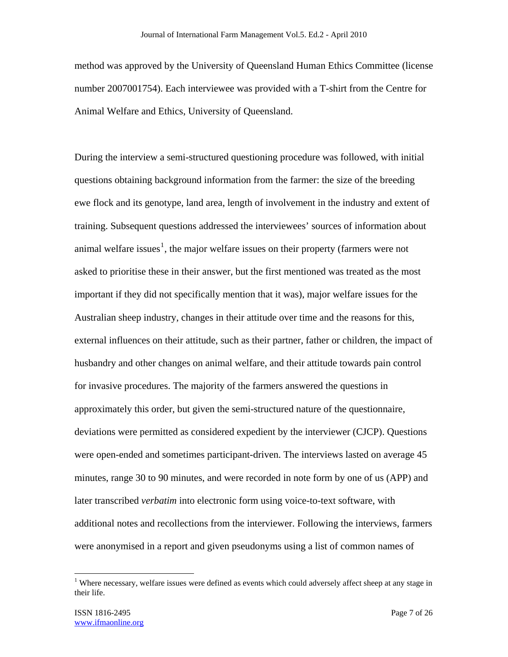method was approved by the University of Queensland Human Ethics Committee (license number 2007001754). Each interviewee was provided with a T-shirt from the Centre for Animal Welfare and Ethics, University of Queensland.

During the interview a semi-structured questioning procedure was followed, with initial questions obtaining background information from the farmer: the size of the breeding ewe flock and its genotype, land area, length of involvement in the industry and extent of training. Subsequent questions addressed the interviewees' sources of information about animal welfare issues<sup>1</sup>, the major welfare issues on their property (farmers were not asked to prioritise these in their answer, but the first mentioned was treated as the most important if they did not specifically mention that it was), major welfare issues for the Australian sheep industry, changes in their attitude over time and the reasons for this, external influences on their attitude, such as their partner, father or children, the impact of husbandry and other changes on animal welfare, and their attitude towards pain control for invasive procedures. The majority of the farmers answered the questions in approximately this order, but given the semi-structured nature of the questionnaire, deviations were permitted as considered expedient by the interviewer (CJCP). Questions were open-ended and sometimes participant-driven. The interviews lasted on average 45 minutes, range 30 to 90 minutes, and were recorded in note form by one of us (APP) and later transcribed *verbatim* into electronic form using voice-to-text software, with additional notes and recollections from the interviewer. Following the interviews, farmers were anonymised in a report and given pseudonyms using a list of common names of

 $\overline{a}$ 

<sup>&</sup>lt;sup>1</sup> Where necessary, welfare issues were defined as events which could adversely affect sheep at any stage in their life.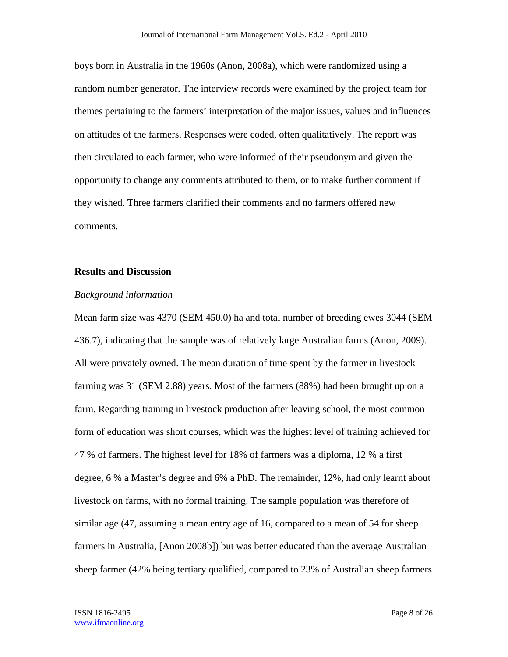boys born in Australia in the 1960s (Anon, 2008a), which were randomized using a random number generator. The interview records were examined by the project team for themes pertaining to the farmers' interpretation of the major issues, values and influences on attitudes of the farmers. Responses were coded, often qualitatively. The report was then circulated to each farmer, who were informed of their pseudonym and given the opportunity to change any comments attributed to them, or to make further comment if they wished. Three farmers clarified their comments and no farmers offered new comments.

## **Results and Discussion**

#### *Background information*

Mean farm size was 4370 (SEM 450.0) ha and total number of breeding ewes 3044 (SEM 436.7), indicating that the sample was of relatively large Australian farms (Anon, 2009). All were privately owned. The mean duration of time spent by the farmer in livestock farming was 31 (SEM 2.88) years. Most of the farmers (88%) had been brought up on a farm. Regarding training in livestock production after leaving school, the most common form of education was short courses, which was the highest level of training achieved for 47 % of farmers. The highest level for 18% of farmers was a diploma, 12 % a first degree, 6 % a Master's degree and 6% a PhD. The remainder, 12%, had only learnt about livestock on farms, with no formal training. The sample population was therefore of similar age (47, assuming a mean entry age of 16, compared to a mean of 54 for sheep farmers in Australia, [Anon 2008b]) but was better educated than the average Australian sheep farmer (42% being tertiary qualified, compared to 23% of Australian sheep farmers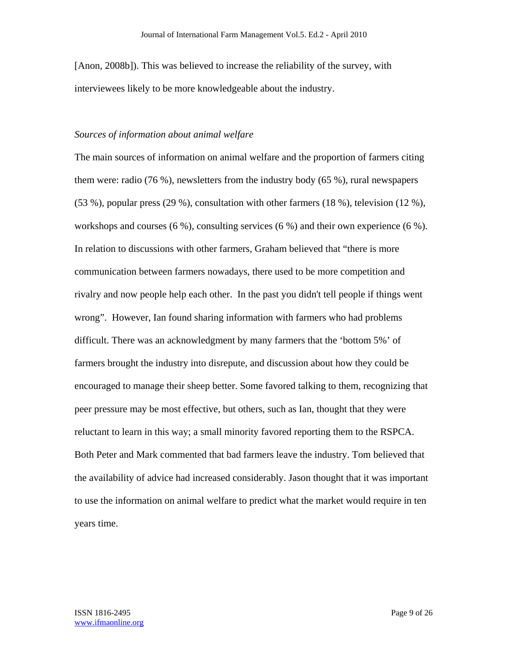[Anon, 2008b]). This was believed to increase the reliability of the survey, with interviewees likely to be more knowledgeable about the industry.

## *Sources of information about animal welfare*

The main sources of information on animal welfare and the proportion of farmers citing them were: radio (76 %), newsletters from the industry body (65 %), rural newspapers (53 %), popular press (29 %), consultation with other farmers (18 %), television (12 %), workshops and courses (6 %), consulting services (6 %) and their own experience (6 %). In relation to discussions with other farmers, Graham believed that "there is more communication between farmers nowadays, there used to be more competition and rivalry and now people help each other. In the past you didn't tell people if things went wrong". However, Ian found sharing information with farmers who had problems difficult. There was an acknowledgment by many farmers that the 'bottom 5%' of farmers brought the industry into disrepute, and discussion about how they could be encouraged to manage their sheep better. Some favored talking to them, recognizing that peer pressure may be most effective, but others, such as Ian, thought that they were reluctant to learn in this way; a small minority favored reporting them to the RSPCA. Both Peter and Mark commented that bad farmers leave the industry. Tom believed that the availability of advice had increased considerably. Jason thought that it was important to use the information on animal welfare to predict what the market would require in ten years time.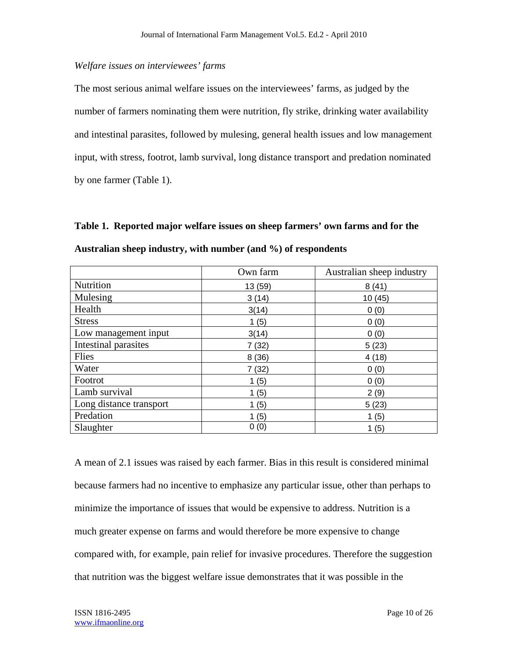## *Welfare issues on interviewees' farms*

The most serious animal welfare issues on the interviewees' farms, as judged by the number of farmers nominating them were nutrition, fly strike, drinking water availability and intestinal parasites, followed by mulesing, general health issues and low management input, with stress, footrot, lamb survival, long distance transport and predation nominated by one farmer (Table 1).

**Table 1. Reported major welfare issues on sheep farmers' own farms and for the Australian sheep industry, with number (and %) of respondents** 

|                         | Own farm | Australian sheep industry |
|-------------------------|----------|---------------------------|
| Nutrition               | 13 (59)  | 8(41)                     |
| Mulesing                | 3(14)    | 10(45)                    |
| Health                  | 3(14)    | 0(0)                      |
| <b>Stress</b>           | 1(5)     | 0(0)                      |
| Low management input    | 3(14)    | 0(0)                      |
| Intestinal parasites    | 7(32)    | 5(23)                     |
| Flies                   | 8(36)    | 4(18)                     |
| Water                   | 7(32)    | 0(0)                      |
| Footrot                 | 1(5)     | 0(0)                      |
| Lamb survival           | 1(5)     | 2(9)                      |
| Long distance transport | 1(5)     | 5(23)                     |
| Predation               | 1(5)     | 1(5)                      |
| Slaughter               | 0(0)     | 1(5)                      |

A mean of 2.1 issues was raised by each farmer. Bias in this result is considered minimal because farmers had no incentive to emphasize any particular issue, other than perhaps to minimize the importance of issues that would be expensive to address. Nutrition is a much greater expense on farms and would therefore be more expensive to change compared with, for example, pain relief for invasive procedures. Therefore the suggestion that nutrition was the biggest welfare issue demonstrates that it was possible in the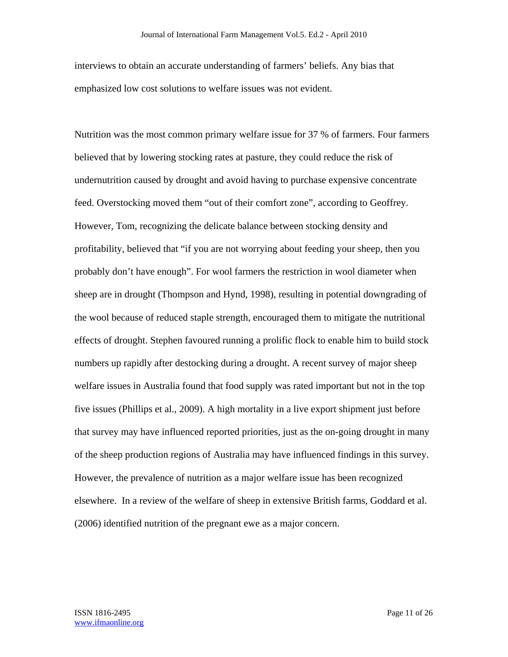interviews to obtain an accurate understanding of farmers' beliefs. Any bias that emphasized low cost solutions to welfare issues was not evident.

Nutrition was the most common primary welfare issue for 37 % of farmers. Four farmers believed that by lowering stocking rates at pasture, they could reduce the risk of undernutrition caused by drought and avoid having to purchase expensive concentrate feed. Overstocking moved them "out of their comfort zone", according to Geoffrey. However, Tom, recognizing the delicate balance between stocking density and profitability, believed that "if you are not worrying about feeding your sheep, then you probably don't have enough". For wool farmers the restriction in wool diameter when sheep are in drought (Thompson and Hynd, 1998), resulting in potential downgrading of the wool because of reduced staple strength, encouraged them to mitigate the nutritional effects of drought. Stephen favoured running a prolific flock to enable him to build stock numbers up rapidly after destocking during a drought. A recent survey of major sheep welfare issues in Australia found that food supply was rated important but not in the top five issues (Phillips et al., 2009). A high mortality in a live export shipment just before that survey may have influenced reported priorities, just as the on-going drought in many of the sheep production regions of Australia may have influenced findings in this survey. However, the prevalence of nutrition as a major welfare issue has been recognized elsewhere. In a review of the welfare of sheep in extensive British farms, Goddard et al. (2006) identified nutrition of the pregnant ewe as a major concern.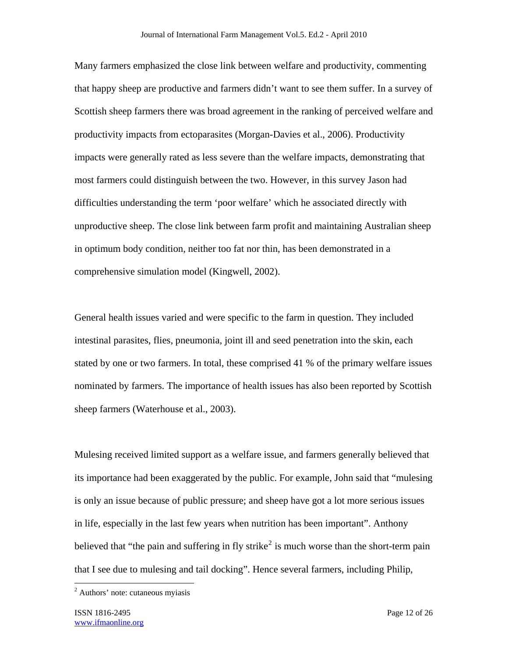Many farmers emphasized the close link between welfare and productivity, commenting that happy sheep are productive and farmers didn't want to see them suffer. In a survey of Scottish sheep farmers there was broad agreement in the ranking of perceived welfare and productivity impacts from ectoparasites (Morgan-Davies et al., 2006). Productivity impacts were generally rated as less severe than the welfare impacts, demonstrating that most farmers could distinguish between the two. However, in this survey Jason had difficulties understanding the term 'poor welfare' which he associated directly with unproductive sheep. The close link between farm profit and maintaining Australian sheep in optimum body condition, neither too fat nor thin, has been demonstrated in a comprehensive simulation model (Kingwell, 2002).

General health issues varied and were specific to the farm in question. They included intestinal parasites, flies, pneumonia, joint ill and seed penetration into the skin, each stated by one or two farmers. In total, these comprised 41 % of the primary welfare issues nominated by farmers. The importance of health issues has also been reported by Scottish sheep farmers (Waterhouse et al., 2003).

Mulesing received limited support as a welfare issue, and farmers generally believed that its importance had been exaggerated by the public. For example, John said that "mulesing is only an issue because of public pressure; and sheep have got a lot more serious issues in life, especially in the last few years when nutrition has been important". Anthony believed that "the pain and suffering in fly strike<sup>2</sup> is much worse than the short-term pain that I see due to mulesing and tail docking". Hence several farmers, including Philip,

 $\overline{a}$ 

<sup>&</sup>lt;sup>2</sup> Authors' note: cutaneous myiasis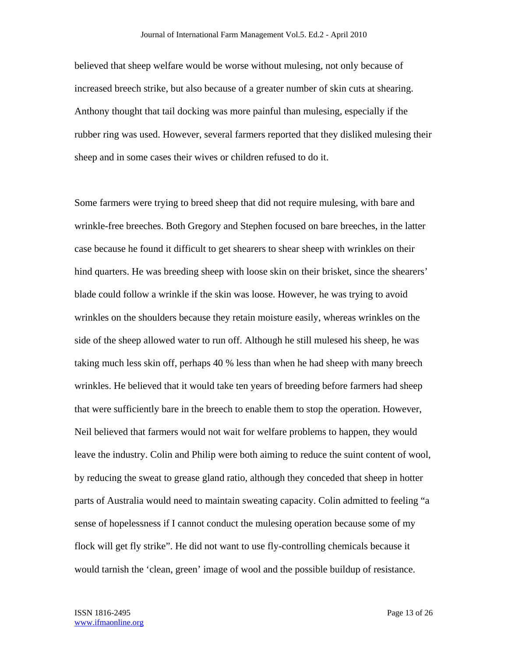believed that sheep welfare would be worse without mulesing, not only because of increased breech strike, but also because of a greater number of skin cuts at shearing. Anthony thought that tail docking was more painful than mulesing, especially if the rubber ring was used. However, several farmers reported that they disliked mulesing their sheep and in some cases their wives or children refused to do it.

Some farmers were trying to breed sheep that did not require mulesing, with bare and wrinkle-free breeches. Both Gregory and Stephen focused on bare breeches, in the latter case because he found it difficult to get shearers to shear sheep with wrinkles on their hind quarters. He was breeding sheep with loose skin on their brisket, since the shearers' blade could follow a wrinkle if the skin was loose. However, he was trying to avoid wrinkles on the shoulders because they retain moisture easily, whereas wrinkles on the side of the sheep allowed water to run off. Although he still mulesed his sheep, he was taking much less skin off, perhaps 40 % less than when he had sheep with many breech wrinkles. He believed that it would take ten years of breeding before farmers had sheep that were sufficiently bare in the breech to enable them to stop the operation. However, Neil believed that farmers would not wait for welfare problems to happen, they would leave the industry. Colin and Philip were both aiming to reduce the suint content of wool, by reducing the sweat to grease gland ratio, although they conceded that sheep in hotter parts of Australia would need to maintain sweating capacity. Colin admitted to feeling "a sense of hopelessness if I cannot conduct the mulesing operation because some of my flock will get fly strike". He did not want to use fly-controlling chemicals because it would tarnish the 'clean, green' image of wool and the possible buildup of resistance.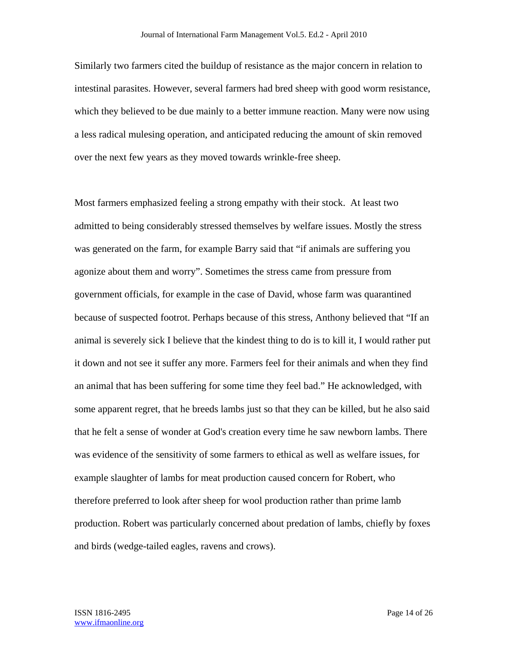Similarly two farmers cited the buildup of resistance as the major concern in relation to intestinal parasites. However, several farmers had bred sheep with good worm resistance, which they believed to be due mainly to a better immune reaction. Many were now using a less radical mulesing operation, and anticipated reducing the amount of skin removed over the next few years as they moved towards wrinkle-free sheep.

Most farmers emphasized feeling a strong empathy with their stock. At least two admitted to being considerably stressed themselves by welfare issues. Mostly the stress was generated on the farm, for example Barry said that "if animals are suffering you agonize about them and worry". Sometimes the stress came from pressure from government officials, for example in the case of David, whose farm was quarantined because of suspected footrot. Perhaps because of this stress, Anthony believed that "If an animal is severely sick I believe that the kindest thing to do is to kill it, I would rather put it down and not see it suffer any more. Farmers feel for their animals and when they find an animal that has been suffering for some time they feel bad." He acknowledged, with some apparent regret, that he breeds lambs just so that they can be killed, but he also said that he felt a sense of wonder at God's creation every time he saw newborn lambs. There was evidence of the sensitivity of some farmers to ethical as well as welfare issues, for example slaughter of lambs for meat production caused concern for Robert, who therefore preferred to look after sheep for wool production rather than prime lamb production. Robert was particularly concerned about predation of lambs, chiefly by foxes and birds (wedge-tailed eagles, ravens and crows).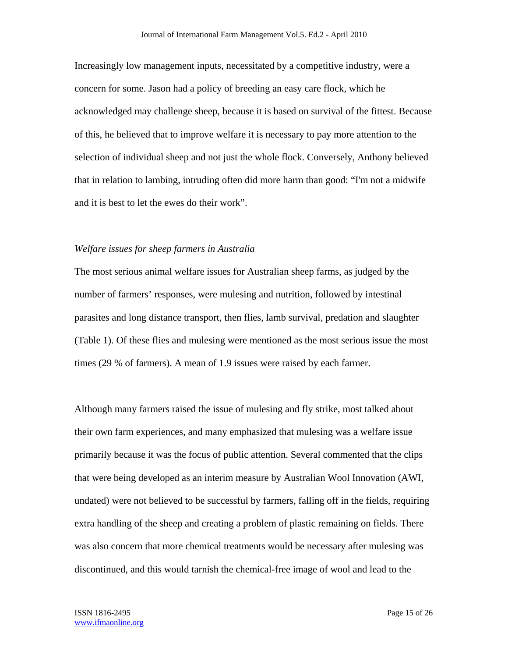Increasingly low management inputs, necessitated by a competitive industry, were a concern for some. Jason had a policy of breeding an easy care flock, which he acknowledged may challenge sheep, because it is based on survival of the fittest. Because of this, he believed that to improve welfare it is necessary to pay more attention to the selection of individual sheep and not just the whole flock. Conversely, Anthony believed that in relation to lambing, intruding often did more harm than good: "I'm not a midwife and it is best to let the ewes do their work".

## *Welfare issues for sheep farmers in Australia*

The most serious animal welfare issues for Australian sheep farms, as judged by the number of farmers' responses, were mulesing and nutrition, followed by intestinal parasites and long distance transport, then flies, lamb survival, predation and slaughter (Table 1). Of these flies and mulesing were mentioned as the most serious issue the most times (29 % of farmers). A mean of 1.9 issues were raised by each farmer.

Although many farmers raised the issue of mulesing and fly strike, most talked about their own farm experiences, and many emphasized that mulesing was a welfare issue primarily because it was the focus of public attention. Several commented that the clips that were being developed as an interim measure by Australian Wool Innovation (AWI, undated) were not believed to be successful by farmers, falling off in the fields, requiring extra handling of the sheep and creating a problem of plastic remaining on fields. There was also concern that more chemical treatments would be necessary after mulesing was discontinued, and this would tarnish the chemical-free image of wool and lead to the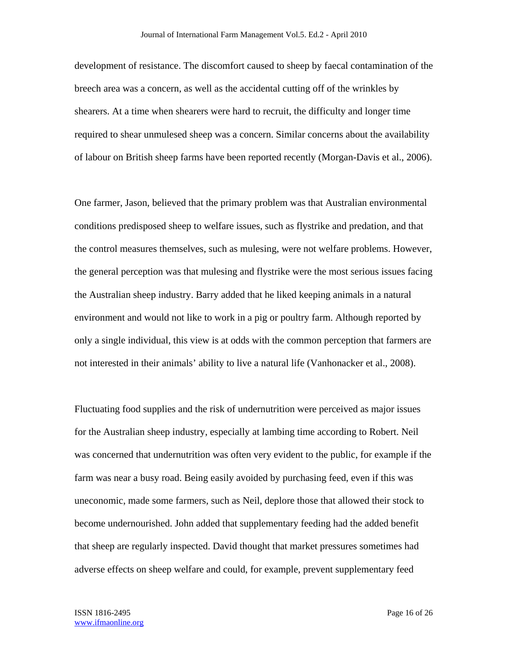development of resistance. The discomfort caused to sheep by faecal contamination of the breech area was a concern, as well as the accidental cutting off of the wrinkles by shearers. At a time when shearers were hard to recruit, the difficulty and longer time required to shear unmulesed sheep was a concern. Similar concerns about the availability of labour on British sheep farms have been reported recently (Morgan-Davis et al., 2006).

One farmer, Jason, believed that the primary problem was that Australian environmental conditions predisposed sheep to welfare issues, such as flystrike and predation, and that the control measures themselves, such as mulesing, were not welfare problems. However, the general perception was that mulesing and flystrike were the most serious issues facing the Australian sheep industry. Barry added that he liked keeping animals in a natural environment and would not like to work in a pig or poultry farm. Although reported by only a single individual, this view is at odds with the common perception that farmers are not interested in their animals' ability to live a natural life (Vanhonacker et al., 2008).

Fluctuating food supplies and the risk of undernutrition were perceived as major issues for the Australian sheep industry, especially at lambing time according to Robert. Neil was concerned that undernutrition was often very evident to the public, for example if the farm was near a busy road. Being easily avoided by purchasing feed, even if this was uneconomic, made some farmers, such as Neil, deplore those that allowed their stock to become undernourished. John added that supplementary feeding had the added benefit that sheep are regularly inspected. David thought that market pressures sometimes had adverse effects on sheep welfare and could, for example, prevent supplementary feed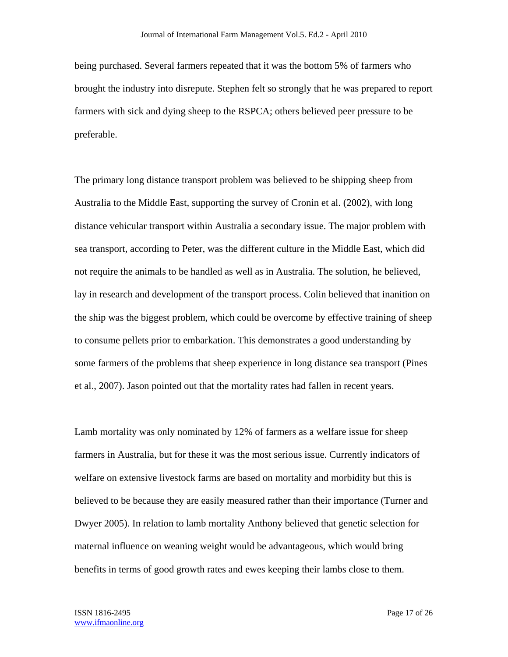being purchased. Several farmers repeated that it was the bottom 5% of farmers who brought the industry into disrepute. Stephen felt so strongly that he was prepared to report farmers with sick and dying sheep to the RSPCA; others believed peer pressure to be preferable.

The primary long distance transport problem was believed to be shipping sheep from Australia to the Middle East, supporting the survey of Cronin et al. (2002), with long distance vehicular transport within Australia a secondary issue. The major problem with sea transport, according to Peter, was the different culture in the Middle East, which did not require the animals to be handled as well as in Australia. The solution, he believed, lay in research and development of the transport process. Colin believed that inanition on the ship was the biggest problem, which could be overcome by effective training of sheep to consume pellets prior to embarkation. This demonstrates a good understanding by some farmers of the problems that sheep experience in long distance sea transport (Pines et al., 2007). Jason pointed out that the mortality rates had fallen in recent years.

Lamb mortality was only nominated by 12% of farmers as a welfare issue for sheep farmers in Australia, but for these it was the most serious issue. Currently indicators of welfare on extensive livestock farms are based on mortality and morbidity but this is believed to be because they are easily measured rather than their importance (Turner and Dwyer 2005). In relation to lamb mortality Anthony believed that genetic selection for maternal influence on weaning weight would be advantageous, which would bring benefits in terms of good growth rates and ewes keeping their lambs close to them.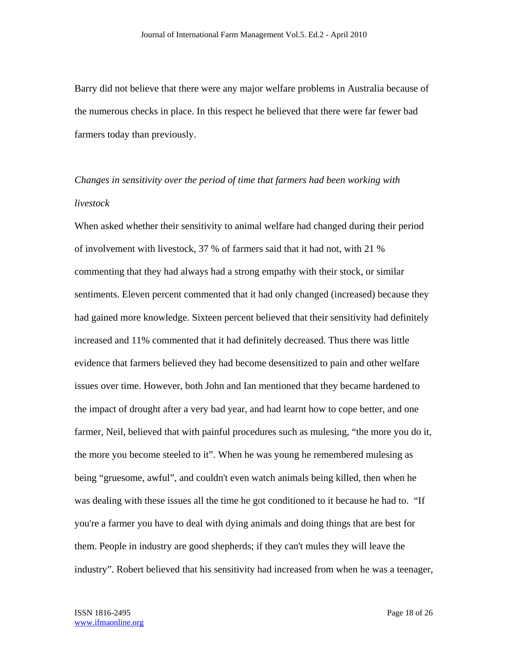Barry did not believe that there were any major welfare problems in Australia because of the numerous checks in place. In this respect he believed that there were far fewer bad farmers today than previously.

# *Changes in sensitivity over the period of time that farmers had been working with livestock*

When asked whether their sensitivity to animal welfare had changed during their period of involvement with livestock, 37 % of farmers said that it had not, with 21 % commenting that they had always had a strong empathy with their stock, or similar sentiments. Eleven percent commented that it had only changed (increased) because they had gained more knowledge. Sixteen percent believed that their sensitivity had definitely increased and 11% commented that it had definitely decreased. Thus there was little evidence that farmers believed they had become desensitized to pain and other welfare issues over time. However, both John and Ian mentioned that they became hardened to the impact of drought after a very bad year, and had learnt how to cope better, and one farmer, Neil, believed that with painful procedures such as mulesing, "the more you do it, the more you become steeled to it". When he was young he remembered mulesing as being "gruesome, awful", and couldn't even watch animals being killed, then when he was dealing with these issues all the time he got conditioned to it because he had to. "If you're a farmer you have to deal with dying animals and doing things that are best for them. People in industry are good shepherds; if they can't mules they will leave the industry". Robert believed that his sensitivity had increased from when he was a teenager,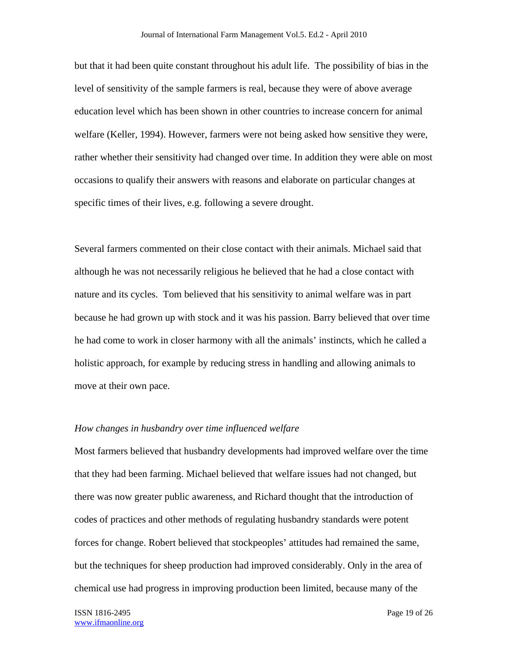but that it had been quite constant throughout his adult life. The possibility of bias in the level of sensitivity of the sample farmers is real, because they were of above average education level which has been shown in other countries to increase concern for animal welfare (Keller, 1994). However, farmers were not being asked how sensitive they were, rather whether their sensitivity had changed over time. In addition they were able on most occasions to qualify their answers with reasons and elaborate on particular changes at specific times of their lives, e.g. following a severe drought.

Several farmers commented on their close contact with their animals. Michael said that although he was not necessarily religious he believed that he had a close contact with nature and its cycles. Tom believed that his sensitivity to animal welfare was in part because he had grown up with stock and it was his passion. Barry believed that over time he had come to work in closer harmony with all the animals' instincts, which he called a holistic approach, for example by reducing stress in handling and allowing animals to move at their own pace.

#### *How changes in husbandry over time influenced welfare*

Most farmers believed that husbandry developments had improved welfare over the time that they had been farming. Michael believed that welfare issues had not changed, but there was now greater public awareness, and Richard thought that the introduction of codes of practices and other methods of regulating husbandry standards were potent forces for change. Robert believed that stockpeoples' attitudes had remained the same, but the techniques for sheep production had improved considerably. Only in the area of chemical use had progress in improving production been limited, because many of the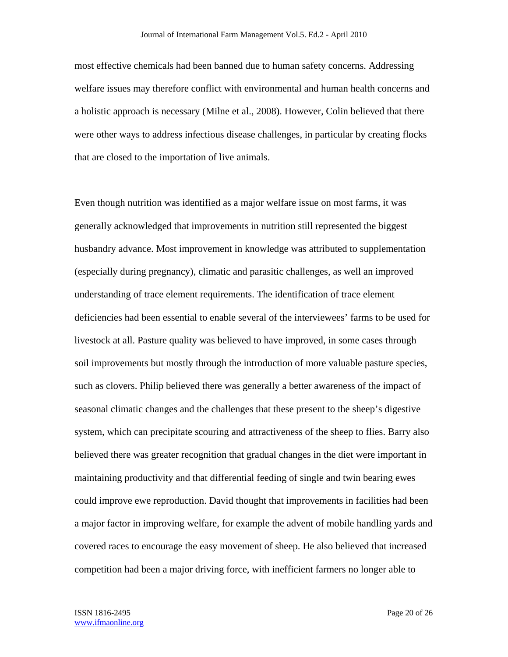most effective chemicals had been banned due to human safety concerns. Addressing welfare issues may therefore conflict with environmental and human health concerns and a holistic approach is necessary (Milne et al., 2008). However, Colin believed that there were other ways to address infectious disease challenges, in particular by creating flocks that are closed to the importation of live animals.

Even though nutrition was identified as a major welfare issue on most farms, it was generally acknowledged that improvements in nutrition still represented the biggest husbandry advance. Most improvement in knowledge was attributed to supplementation (especially during pregnancy), climatic and parasitic challenges, as well an improved understanding of trace element requirements. The identification of trace element deficiencies had been essential to enable several of the interviewees' farms to be used for livestock at all. Pasture quality was believed to have improved, in some cases through soil improvements but mostly through the introduction of more valuable pasture species, such as clovers. Philip believed there was generally a better awareness of the impact of seasonal climatic changes and the challenges that these present to the sheep's digestive system, which can precipitate scouring and attractiveness of the sheep to flies. Barry also believed there was greater recognition that gradual changes in the diet were important in maintaining productivity and that differential feeding of single and twin bearing ewes could improve ewe reproduction. David thought that improvements in facilities had been a major factor in improving welfare, for example the advent of mobile handling yards and covered races to encourage the easy movement of sheep. He also believed that increased competition had been a major driving force, with inefficient farmers no longer able to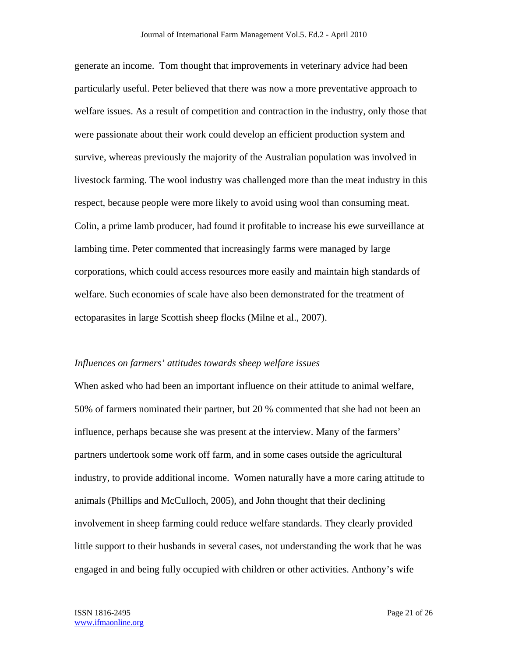generate an income. Tom thought that improvements in veterinary advice had been particularly useful. Peter believed that there was now a more preventative approach to welfare issues. As a result of competition and contraction in the industry, only those that were passionate about their work could develop an efficient production system and survive, whereas previously the majority of the Australian population was involved in livestock farming. The wool industry was challenged more than the meat industry in this respect, because people were more likely to avoid using wool than consuming meat. Colin, a prime lamb producer, had found it profitable to increase his ewe surveillance at lambing time. Peter commented that increasingly farms were managed by large corporations, which could access resources more easily and maintain high standards of welfare. Such economies of scale have also been demonstrated for the treatment of ectoparasites in large Scottish sheep flocks (Milne et al., 2007).

#### *Influences on farmers' attitudes towards sheep welfare issues*

When asked who had been an important influence on their attitude to animal welfare, 50% of farmers nominated their partner, but 20 % commented that she had not been an influence, perhaps because she was present at the interview. Many of the farmers' partners undertook some work off farm, and in some cases outside the agricultural industry, to provide additional income. Women naturally have a more caring attitude to animals (Phillips and McCulloch, 2005), and John thought that their declining involvement in sheep farming could reduce welfare standards. They clearly provided little support to their husbands in several cases, not understanding the work that he was engaged in and being fully occupied with children or other activities. Anthony's wife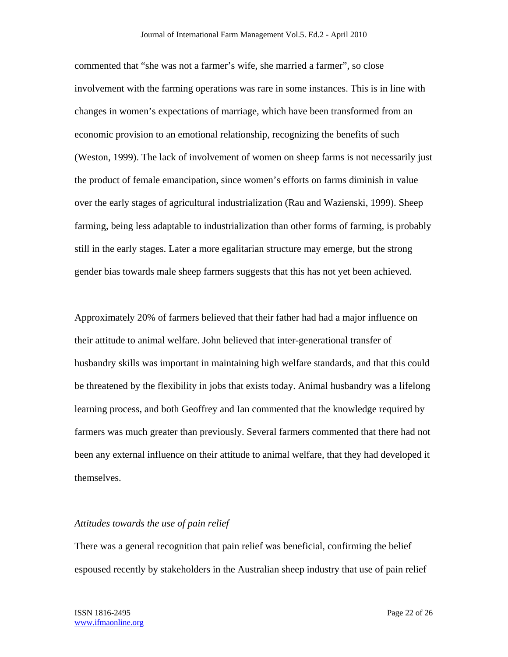commented that "she was not a farmer's wife, she married a farmer", so close involvement with the farming operations was rare in some instances. This is in line with changes in women's expectations of marriage, which have been transformed from an economic provision to an emotional relationship, recognizing the benefits of such (Weston, 1999). The lack of involvement of women on sheep farms is not necessarily just the product of female emancipation, since women's efforts on farms diminish in value over the early stages of agricultural industrialization (Rau and Wazienski, 1999). Sheep farming, being less adaptable to industrialization than other forms of farming, is probably still in the early stages. Later a more egalitarian structure may emerge, but the strong gender bias towards male sheep farmers suggests that this has not yet been achieved.

Approximately 20% of farmers believed that their father had had a major influence on their attitude to animal welfare. John believed that inter-generational transfer of husbandry skills was important in maintaining high welfare standards, and that this could be threatened by the flexibility in jobs that exists today. Animal husbandry was a lifelong learning process, and both Geoffrey and Ian commented that the knowledge required by farmers was much greater than previously. Several farmers commented that there had not been any external influence on their attitude to animal welfare, that they had developed it themselves.

#### *Attitudes towards the use of pain relief*

There was a general recognition that pain relief was beneficial, confirming the belief espoused recently by stakeholders in the Australian sheep industry that use of pain relief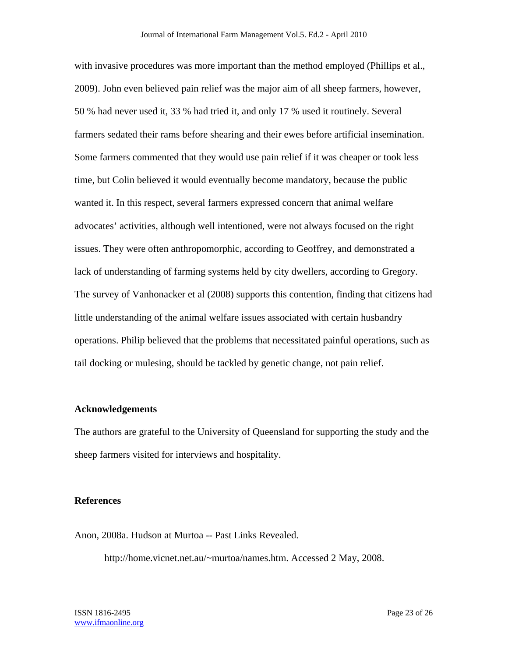with invasive procedures was more important than the method employed (Phillips et al., 2009). John even believed pain relief was the major aim of all sheep farmers, however, 50 % had never used it, 33 % had tried it, and only 17 % used it routinely. Several farmers sedated their rams before shearing and their ewes before artificial insemination. Some farmers commented that they would use pain relief if it was cheaper or took less time, but Colin believed it would eventually become mandatory, because the public wanted it. In this respect, several farmers expressed concern that animal welfare advocates' activities, although well intentioned, were not always focused on the right issues. They were often anthropomorphic, according to Geoffrey, and demonstrated a lack of understanding of farming systems held by city dwellers, according to Gregory. The survey of Vanhonacker et al (2008) supports this contention, finding that citizens had little understanding of the animal welfare issues associated with certain husbandry operations. Philip believed that the problems that necessitated painful operations, such as tail docking or mulesing, should be tackled by genetic change, not pain relief.

## **Acknowledgements**

The authors are grateful to the University of Queensland for supporting the study and the sheep farmers visited for interviews and hospitality.

## **References**

Anon, 2008a. Hudson at Murtoa -- Past Links Revealed.

http://home.vicnet.net.au/~murtoa/names.htm. Accessed 2 May, 2008.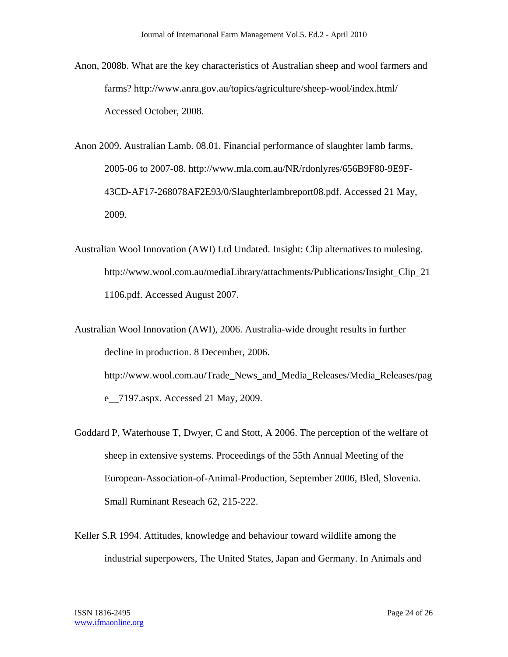- Anon, 2008b. What are the key characteristics of Australian sheep and wool farmers and farms? http://www.anra.gov.au/topics/agriculture/sheep-wool/index.html/ Accessed October, 2008.
- Anon 2009. Australian Lamb. 08.01. Financial performance of slaughter lamb farms, 2005-06 to 2007-08. http://www.mla.com.au/NR/rdonlyres/656B9F80-9E9F-43CD-AF17-268078AF2E93/0/Slaughterlambreport08.pdf. Accessed 21 May, 2009.
- Australian Wool Innovation (AWI) Ltd Undated. Insight: Clip alternatives to mulesing. http://www.wool.com.au/mediaLibrary/attachments/Publications/Insight\_Clip\_21 1106.pdf. Accessed August 2007.
- Australian Wool Innovation (AWI), 2006. Australia-wide drought results in further decline in production. 8 December, 2006. http://www.wool.com.au/Trade\_News\_and\_Media\_Releases/Media\_Releases/pag e\_\_7197.aspx. Accessed 21 May, 2009.
- Goddard P, Waterhouse T, Dwyer, C and Stott, A 2006. The perception of the welfare of sheep in extensive systems. Proceedings of the 55th Annual Meeting of the European-Association-of-Animal-Production, September 2006, Bled, Slovenia. Small Ruminant Reseach 62, 215-222.
- Keller S.R 1994. Attitudes, knowledge and behaviour toward wildlife among the industrial superpowers, The United States, Japan and Germany. In Animals and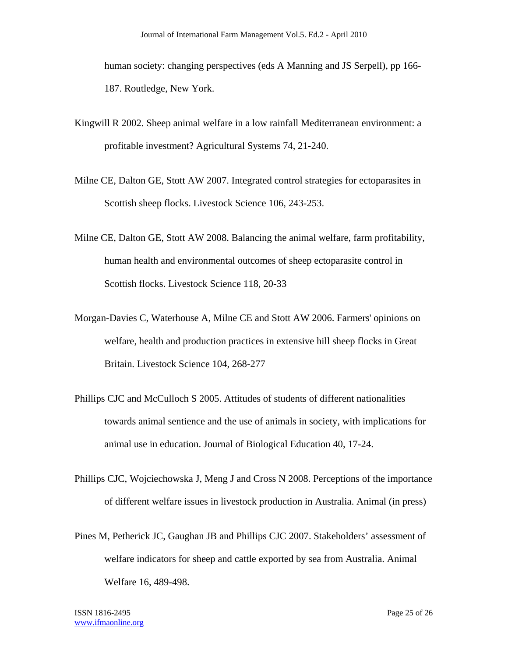human society: changing perspectives (eds A Manning and JS Serpell), pp 166- 187. Routledge, New York.

- Kingwill R 2002. Sheep animal welfare in a low rainfall Mediterranean environment: a profitable investment? Agricultural Systems 74, 21-240.
- Milne CE, Dalton GE, Stott AW 2007. Integrated control strategies for ectoparasites in Scottish sheep flocks. Livestock Science 106, 243-253.
- Milne CE, Dalton GE, Stott AW 2008. Balancing the animal welfare, farm profitability, human health and environmental outcomes of sheep ectoparasite control in Scottish flocks. Livestock Science 118, 20-33
- Morgan-Davies C, Waterhouse A, Milne CE and Stott AW 2006. Farmers' opinions on welfare, health and production practices in extensive hill sheep flocks in Great Britain. Livestock Science 104, 268-277
- Phillips CJC and McCulloch S 2005. Attitudes of students of different nationalities towards animal sentience and the use of animals in society, with implications for animal use in education. Journal of Biological Education 40, 17-24.
- Phillips CJC, Wojciechowska J, Meng J and Cross N 2008. Perceptions of the importance of different welfare issues in livestock production in Australia. Animal (in press)
- Pines M, Petherick JC, Gaughan JB and Phillips CJC 2007. Stakeholders' assessment of welfare indicators for sheep and cattle exported by sea from Australia. Animal Welfare 16, 489-498.